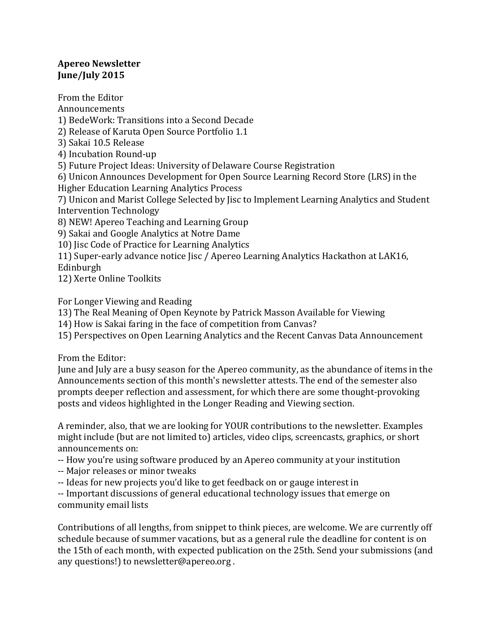# **Apereo Newsletter June/July 2015**

From the Editor Announcements 1) BedeWork: Transitions into a Second Decade 2) Release of Karuta Open Source Portfolio 1.1 3) Sakai 10.5 Release 4) Incubation Round-up 5) Future Project Ideas: University of Delaware Course Registration 6) Unicon Announces Development for Open Source Learning Record Store (LRS) in the Higher Education Learning Analytics Process 7) Unicon and Marist College Selected by Jisc to Implement Learning Analytics and Student Intervention Technology 8) NEW! Apereo Teaching and Learning Group 9) Sakai and Google Analytics at Notre Dame 10) Jisc Code of Practice for Learning Analytics 11) Super-early advance notice Jisc / Apereo Learning Analytics Hackathon at LAK16, Edinburgh

12) Xerte Online Toolkits

For Longer Viewing and Reading

13) The Real Meaning of Open Keynote by Patrick Masson Available for Viewing

14) How is Sakai faring in the face of competition from Canvas?

15) Perspectives on Open Learning Analytics and the Recent Canvas Data Announcement

From the Editor:

June and July are a busy season for the Apereo community, as the abundance of items in the Announcements section of this month's newsletter attests. The end of the semester also prompts deeper reflection and assessment, for which there are some thought-provoking posts and videos highlighted in the Longer Reading and Viewing section.

A reminder, also, that we are looking for YOUR contributions to the newsletter. Examples might include (but are not limited to) articles, video clips, screencasts, graphics, or short announcements on:

-- How you're using software produced by an Apereo community at your institution

- -- Major releases or minor tweaks
- -- Ideas for new projects you'd like to get feedback on or gauge interest in

-- Important discussions of general educational technology issues that emerge on community email lists

Contributions of all lengths, from snippet to think pieces, are welcome. We are currently off schedule because of summer vacations, but as a general rule the deadline for content is on the 15th of each month, with expected publication on the 25th. Send your submissions (and any questions!) to newsletter@apereo.org.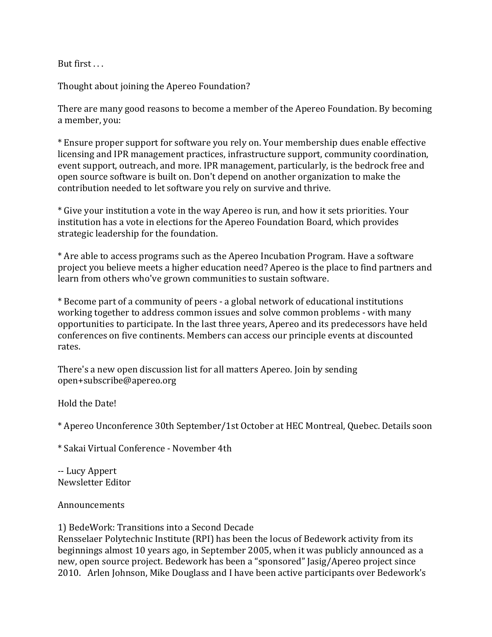But first  $\dots$ 

Thought about joining the Apereo Foundation?

There are many good reasons to become a member of the Apereo Foundation. By becoming a member, you:

\* Ensure proper support for software you rely on. Your membership dues enable effective licensing and IPR management practices, infrastructure support, community coordination, event support, outreach, and more. IPR management, particularly, is the bedrock free and open source software is built on. Don't depend on another organization to make the contribution needed to let software you rely on survive and thrive.

\* Give your institution a vote in the way Apereo is run, and how it sets priorities. Your institution has a vote in elections for the Apereo Foundation Board, which provides strategic leadership for the foundation.

\* Are able to access programs such as the Apereo Incubation Program. Have a software project you believe meets a higher education need? Apereo is the place to find partners and learn from others who've grown communities to sustain software.

\* Become part of a community of peers - a global network of educational institutions working together to address common issues and solve common problems - with many opportunities to participate. In the last three years, Apereo and its predecessors have held conferences on five continents. Members can access our principle events at discounted rates.

There's a new open discussion list for all matters Apereo. Join by sending open+subscribe@apereo.org

Hold the Date!

\* Apereo Unconference 30th September/1st October at HEC Montreal, Quebec. Details soon

\* Sakai Virtual Conference - November 4th

-- Lucy Appert Newsletter Editor

Announcements 

1) BedeWork: Transitions into a Second Decade

Rensselaer Polytechnic Institute (RPI) has been the locus of Bedework activity from its beginnings almost 10 years ago, in September 2005, when it was publicly announced as a new, open source project. Bedework has been a "sponsored" Jasig/Apereo project since 2010. Arlen Johnson, Mike Douglass and I have been active participants over Bedework's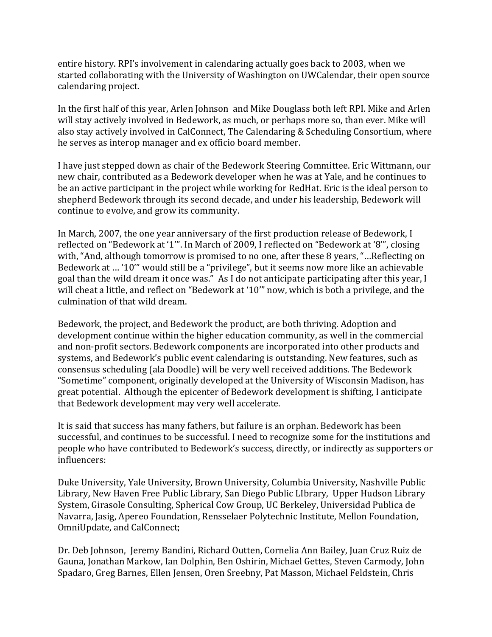entire history. RPI's involvement in calendaring actually goes back to 2003, when we started collaborating with the University of Washington on UWCalendar, their open source calendaring project.

In the first half of this year, Arlen Johnson and Mike Douglass both left RPI. Mike and Arlen will stay actively involved in Bedework, as much, or perhaps more so, than ever. Mike will also stay actively involved in CalConnect, The Calendaring & Scheduling Consortium, where he serves as interop manager and ex officio board member.

I have just stepped down as chair of the Bedework Steering Committee. Eric Wittmann, our new chair, contributed as a Bedework developer when he was at Yale, and he continues to be an active participant in the project while working for RedHat. Eric is the ideal person to shepherd Bedework through its second decade, and under his leadership, Bedework will continue to evolve, and grow its community.

In March, 2007, the one year anniversary of the first production release of Bedework, I reflected on "Bedework at '1"". In March of 2009, I reflected on "Bedework at '8"', closing with, "And, although tomorrow is promised to no one, after these 8 years, "...Reflecting on Bedework at ... '10"' would still be a "privilege", but it seems now more like an achievable goal than the wild dream it once was." As I do not anticipate participating after this year, I will cheat a little, and reflect on "Bedework at '10" now, which is both a privilege, and the culmination of that wild dream.

Bedework, the project, and Bedework the product, are both thriving. Adoption and development continue within the higher education community, as well in the commercial and non-profit sectors. Bedework components are incorporated into other products and systems, and Bedework's public event calendaring is outstanding. New features, such as consensus scheduling (ala Doodle) will be very well received additions. The Bedework "Sometime" component, originally developed at the University of Wisconsin Madison, has great potential. Although the epicenter of Bedework development is shifting, I anticipate that Bedework development may very well accelerate.

It is said that success has many fathers, but failure is an orphan. Bedework has been successful, and continues to be successful. I need to recognize some for the institutions and people who have contributed to Bedework's success, directly, or indirectly as supporters or influencers:

Duke University, Yale University, Brown University, Columbia University, Nashville Public Library, New Haven Free Public Library, San Diego Public LIbrary, Upper Hudson Library System, Girasole Consulting, Spherical Cow Group, UC Berkeley, Universidad Publica de Navarra, Jasig, Apereo Foundation, Rensselaer Polytechnic Institute, Mellon Foundation, OmniUpdate, and CalConnect;

Dr. Deb Johnson, Jeremy Bandini, Richard Outten, Cornelia Ann Bailey, Juan Cruz Ruiz de Gauna, Jonathan Markow, Ian Dolphin, Ben Oshirin, Michael Gettes, Steven Carmody, John Spadaro, Greg Barnes, Ellen Jensen, Oren Sreebny, Pat Masson, Michael Feldstein, Chris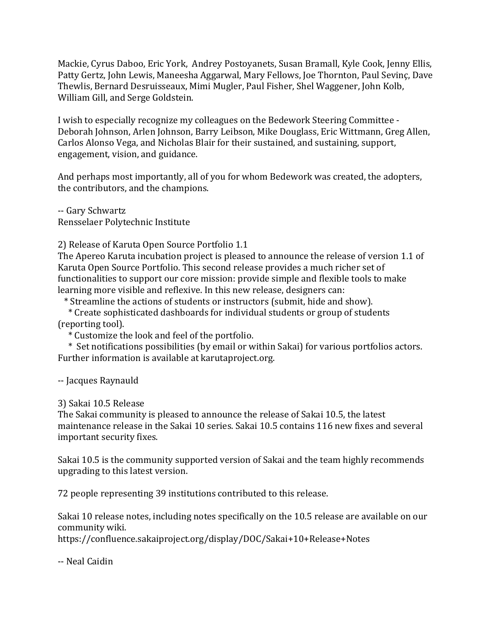Mackie, Cyrus Daboo, Eric York, Andrey Postoyanets, Susan Bramall, Kyle Cook, Jenny Ellis, Patty Gertz, John Lewis, Maneesha Aggarwal, Mary Fellows, Joe Thornton, Paul Sevinc, Dave Thewlis, Bernard Desruisseaux, Mimi Mugler, Paul Fisher, Shel Waggener, John Kolb, William Gill, and Serge Goldstein.

I wish to especially recognize my colleagues on the Bedework Steering Committee -Deborah Johnson, Arlen Johnson, Barry Leibson, Mike Douglass, Eric Wittmann, Greg Allen, Carlos Alonso Vega, and Nicholas Blair for their sustained, and sustaining, support, engagement, vision, and guidance.

And perhaps most importantly, all of you for whom Bedework was created, the adopters, the contributors, and the champions.

-- Gary Schwartz Rensselaer Polytechnic Institute

2) Release of Karuta Open Source Portfolio 1.1

The Apereo Karuta incubation project is pleased to announce the release of version 1.1 of Karuta Open Source Portfolio. This second release provides a much richer set of functionalities to support our core mission: provide simple and flexible tools to make learning more visible and reflexive. In this new release, designers can:

\* Streamline the actions of students or instructors (submit, hide and show).

 \* Create sophisticated dashboards for individual students or group of students (reporting tool).

 \* Customize the look and feel of the portfolio.

\* Set notifications possibilities (by email or within Sakai) for various portfolios actors. Further information is available at karutaproject.org.

-- Jacques Raynauld

### 3) Sakai 10.5 Release

The Sakai community is pleased to announce the release of Sakai 10.5, the latest maintenance release in the Sakai 10 series. Sakai 10.5 contains 116 new fixes and several important security fixes.

Sakai 10.5 is the community supported version of Sakai and the team highly recommends upgrading to this latest version.

72 people representing 39 institutions contributed to this release.

Sakai 10 release notes, including notes specifically on the 10.5 release are available on our community wiki.

https://confluence.sakaiproject.org/display/DOC/Sakai+10+Release+Notes

-- Neal Caidin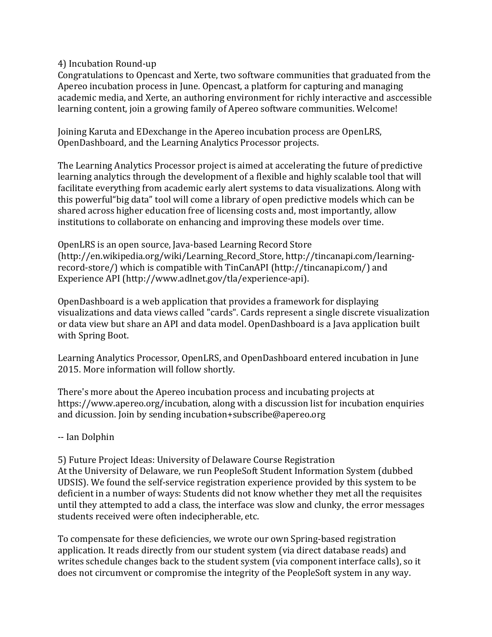4) Incubation Round-up

Congratulations to Opencast and Xerte, two software communities that graduated from the Apereo incubation process in June. Opencast, a platform for capturing and managing academic media, and Xerte, an authoring environment for richly interactive and asccessible learning content, join a growing family of Apereo software communities. Welcome!

Joining Karuta and EDexchange in the Apereo incubation process are OpenLRS, OpenDashboard, and the Learning Analytics Processor projects.

The Learning Analytics Processor project is aimed at accelerating the future of predictive learning analytics through the development of a flexible and highly scalable tool that will facilitate everything from academic early alert systems to data visualizations. Along with this powerful "big data" tool will come a library of open predictive models which can be shared across higher education free of licensing costs and, most importantly, allow institutions to collaborate on enhancing and improving these models over time.

OpenLRS is an open source, Java-based Learning Record Store (http://en.wikipedia.org/wiki/Learning\_Record\_Store, http://tincanapi.com/learningrecord-store/) which is compatible with TinCanAPI (http://tincanapi.com/) and Experience API (http://www.adlnet.gov/tla/experience-api).

OpenDashboard is a web application that provides a framework for displaying visualizations and data views called "cards". Cards represent a single discrete visualization or data view but share an API and data model. OpenDashboard is a Java application built with Spring Boot.

Learning Analytics Processor, OpenLRS, and OpenDashboard entered incubation in June 2015. More information will follow shortly.

There's more about the Apereo incubation process and incubating projects at https://www.apereo.org/incubation, along with a discussion list for incubation enquiries and dicussion. Join by sending incubation+subscribe@apereo.org

### -- Ian Dolphin

5) Future Project Ideas: University of Delaware Course Registration At the University of Delaware, we run PeopleSoft Student Information System (dubbed UDSIS). We found the self-service registration experience provided by this system to be deficient in a number of ways: Students did not know whether they met all the requisites until they attempted to add a class, the interface was slow and clunky, the error messages students received were often indecipherable, etc.

To compensate for these deficiencies, we wrote our own Spring-based registration application. It reads directly from our student system (via direct database reads) and writes schedule changes back to the student system (via component interface calls), so it does not circumvent or compromise the integrity of the PeopleSoft system in any way.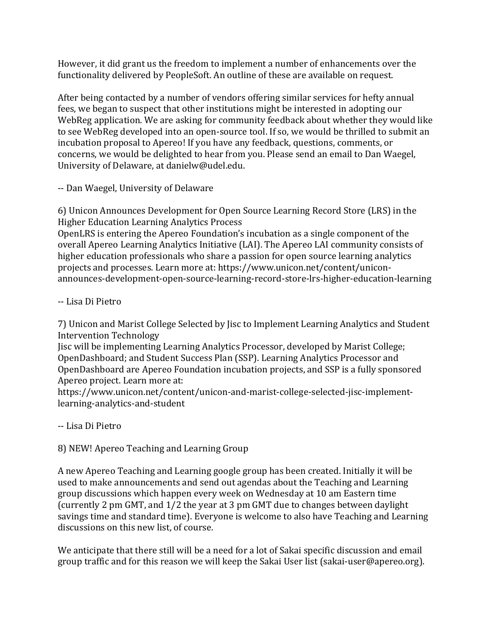However, it did grant us the freedom to implement a number of enhancements over the functionality delivered by PeopleSoft. An outline of these are available on request.

After being contacted by a number of vendors offering similar services for hefty annual fees, we began to suspect that other institutions might be interested in adopting our WebReg application. We are asking for community feedback about whether they would like to see WebReg developed into an open-source tool. If so, we would be thrilled to submit an incubation proposal to Apereo! If you have any feedback, questions, comments, or concerns, we would be delighted to hear from you. Please send an email to Dan Waegel, University of Delaware, at danielw@udel.edu.

-- Dan Waegel, University of Delaware

6) Unicon Announces Development for Open Source Learning Record Store (LRS) in the Higher Education Learning Analytics Process

OpenLRS is entering the Apereo Foundation's incubation as a single component of the overall Apereo Learning Analytics Initiative (LAI). The Apereo LAI community consists of higher education professionals who share a passion for open source learning analytics projects and processes. Learn more at: https://www.unicon.net/content/uniconannounces-development-open-source-learning-record-store-lrs-higher-education-learning

-- Lisa Di Pietro

7) Unicon and Marist College Selected by Jisc to Implement Learning Analytics and Student Intervention Technology

Jisc will be implementing Learning Analytics Processor, developed by Marist College; OpenDashboard; and Student Success Plan (SSP). Learning Analytics Processor and OpenDashboard are Apereo Foundation incubation projects, and SSP is a fully sponsored Apereo project. Learn more at:

https://www.unicon.net/content/unicon-and-marist-college-selected-jisc-implementlearning-analytics-and-student

# -- Lisa Di Pietro

8) NEW! Apereo Teaching and Learning Group

A new Apereo Teaching and Learning google group has been created. Initially it will be used to make announcements and send out agendas about the Teaching and Learning group discussions which happen every week on Wednesday at 10 am Eastern time (currently 2 pm GMT, and 1/2 the year at 3 pm GMT due to changes between daylight savings time and standard time). Everyone is welcome to also have Teaching and Learning discussions on this new list, of course.

We anticipate that there still will be a need for a lot of Sakai specific discussion and email group traffic and for this reason we will keep the Sakai User list (sakai-user@apereo.org).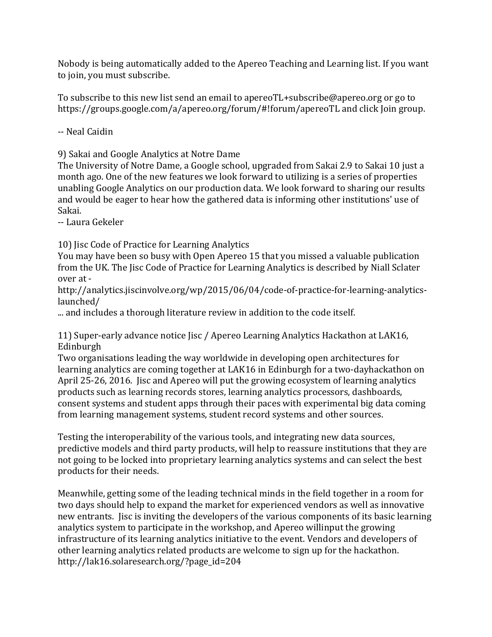Nobody is being automatically added to the Apereo Teaching and Learning list. If you want to join, you must subscribe.

To subscribe to this new list send an email to apereoTL+subscribe@apereo.org or go to https://groups.google.com/a/apereo.org/forum/#!forum/apereoTL and click Join group.

-- Neal Caidin

9) Sakai and Google Analytics at Notre Dame

The University of Notre Dame, a Google school, upgraded from Sakai 2.9 to Sakai 10 just a month ago. One of the new features we look forward to utilizing is a series of properties unabling Google Analytics on our production data. We look forward to sharing our results and would be eager to hear how the gathered data is informing other institutions' use of Sakai.

-- Laura Gekeler

10) Jisc Code of Practice for Learning Analytics

You may have been so busy with Open Apereo 15 that you missed a valuable publication from the UK. The Jisc Code of Practice for Learning Analytics is described by Niall Sclater over at -

http://analytics.jiscinvolve.org/wp/2015/06/04/code-of-practice-for-learning-analyticslaunched/

... and includes a thorough literature review in addition to the code itself.

11) Super-early advance notice Jisc / Apereo Learning Analytics Hackathon at LAK16, Edinburgh

Two organisations leading the way worldwide in developing open architectures for learning analytics are coming together at LAK16 in Edinburgh for a two-dayhackathon on April 25-26, 2016. Jisc and Apereo will put the growing ecosystem of learning analytics products such as learning records stores, learning analytics processors, dashboards, consent systems and student apps through their paces with experimental big data coming from learning management systems, student record systems and other sources.

Testing the interoperability of the various tools, and integrating new data sources, predictive models and third party products, will help to reassure institutions that they are not going to be locked into proprietary learning analytics systems and can select the best products for their needs.

Meanwhile, getting some of the leading technical minds in the field together in a room for two days should help to expand the market for experienced vendors as well as innovative new entrants. Jisc is inviting the developers of the various components of its basic learning analytics system to participate in the workshop, and Apereo willinput the growing infrastructure of its learning analytics initiative to the event. Vendors and developers of other learning analytics related products are welcome to sign up for the hackathon. http://lak16.solaresearch.org/?page\_id=204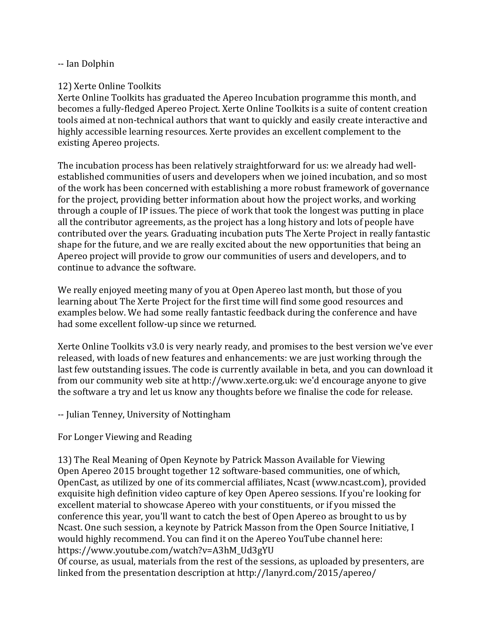### -- Ian Dolphin

## 12) Xerte Online Toolkits

Xerte Online Toolkits has graduated the Apereo Incubation programme this month, and becomes a fully-fledged Apereo Project. Xerte Online Toolkits is a suite of content creation tools aimed at non-technical authors that want to quickly and easily create interactive and highly accessible learning resources. Xerte provides an excellent complement to the existing Apereo projects.

The incubation process has been relatively straightforward for us: we already had wellestablished communities of users and developers when we joined incubation, and so most of the work has been concerned with establishing a more robust framework of governance for the project, providing better information about how the project works, and working through a couple of IP issues. The piece of work that took the longest was putting in place all the contributor agreements, as the project has a long history and lots of people have contributed over the years. Graduating incubation puts The Xerte Project in really fantastic shape for the future, and we are really excited about the new opportunities that being an Apereo project will provide to grow our communities of users and developers, and to continue to advance the software.

We really enjoyed meeting many of you at Open Apereo last month, but those of you learning about The Xerte Project for the first time will find some good resources and examples below. We had some really fantastic feedback during the conference and have had some excellent follow-up since we returned.

Xerte Online Toolkits  $v3.0$  is very nearly ready, and promises to the best version we've ever released, with loads of new features and enhancements: we are just working through the last few outstanding issues. The code is currently available in beta, and you can download it from our community web site at http://www.xerte.org.uk: we'd encourage anyone to give the software a try and let us know any thoughts before we finalise the code for release.

-- Julian Tenney, University of Nottingham

For Longer Viewing and Reading

13) The Real Meaning of Open Keynote by Patrick Masson Available for Viewing Open Apereo 2015 brought together 12 software-based communities, one of which, OpenCast, as utilized by one of its commercial affiliates, Ncast (www.ncast.com), provided exquisite high definition video capture of key Open Apereo sessions. If you're looking for excellent material to showcase Apereo with your constituents, or if you missed the conference this year, you'll want to catch the best of Open Apereo as brought to us by Ncast. One such session, a keynote by Patrick Masson from the Open Source Initiative, I would highly recommend. You can find it on the Apereo YouTube channel here: https://www.youtube.com/watch?v=A3hM\_Ud3gYU

Of course, as usual, materials from the rest of the sessions, as uploaded by presenters, are linked from the presentation description at http://lanyrd.com/2015/apereo/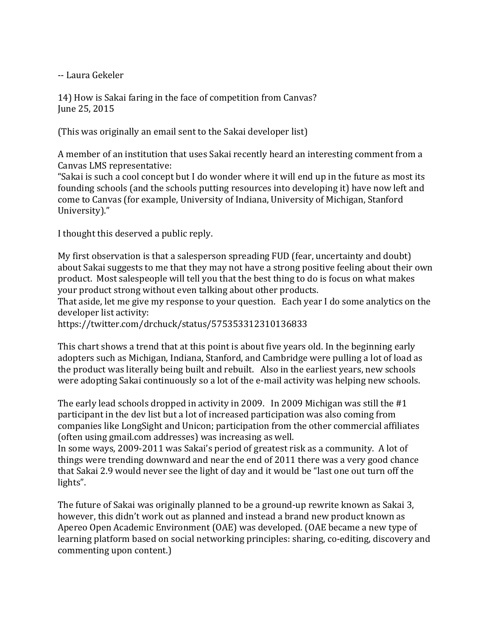-- Laura Gekeler

14) How is Sakai faring in the face of competition from Canvas? June 25, 2015

(This was originally an email sent to the Sakai developer list)

A member of an institution that uses Sakai recently heard an interesting comment from a Canvas LMS representative:

"Sakai is such a cool concept but I do wonder where it will end up in the future as most its founding schools (and the schools putting resources into developing it) have now left and come to Canvas (for example, University of Indiana, University of Michigan, Stanford University)."

I thought this deserved a public reply.

My first observation is that a salesperson spreading FUD (fear, uncertainty and doubt) about Sakai suggests to me that they may not have a strong positive feeling about their own product. Most salespeople will tell you that the best thing to do is focus on what makes your product strong without even talking about other products.

That aside, let me give my response to your question. Each year I do some analytics on the developer list activity:

https://twitter.com/drchuck/status/575353312310136833

This chart shows a trend that at this point is about five years old. In the beginning early adopters such as Michigan, Indiana, Stanford, and Cambridge were pulling a lot of load as the product was literally being built and rebuilt. Also in the earliest vears, new schools were adopting Sakai continuously so a lot of the e-mail activity was helping new schools.

The early lead schools dropped in activity in 2009. In 2009 Michigan was still the  $#1$ participant in the dev list but a lot of increased participation was also coming from companies like LongSight and Unicon; participation from the other commercial affiliates (often using gmail.com addresses) was increasing as well.

In some ways, 2009-2011 was Sakai's period of greatest risk as a community. A lot of things were trending downward and near the end of 2011 there was a very good chance that Sakai 2.9 would never see the light of day and it would be "last one out turn off the lights".

The future of Sakai was originally planned to be a ground-up rewrite known as Sakai 3, however, this didn't work out as planned and instead a brand new product known as Apereo Open Academic Environment (OAE) was developed. (OAE became a new type of learning platform based on social networking principles: sharing, co-editing, discovery and commenting upon content.)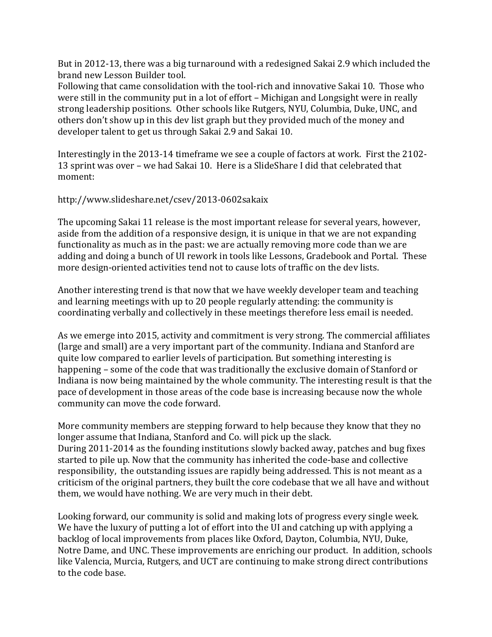But in 2012-13, there was a big turnaround with a redesigned Sakai 2.9 which included the brand new Lesson Builder tool.

Following that came consolidation with the tool-rich and innovative Sakai 10. Those who were still in the community put in a lot of effort – Michigan and Longsight were in really strong leadership positions. Other schools like Rutgers, NYU, Columbia, Duke, UNC, and others don't show up in this dev list graph but they provided much of the money and developer talent to get us through Sakai 2.9 and Sakai 10.

Interestingly in the 2013-14 timeframe we see a couple of factors at work. First the 2102-13 sprint was over - we had Sakai 10. Here is a SlideShare I did that celebrated that moment: 

http://www.slideshare.net/csev/2013-0602sakaix

The upcoming Sakai 11 release is the most important release for several years, however, aside from the addition of a responsive design, it is unique in that we are not expanding functionality as much as in the past: we are actually removing more code than we are adding and doing a bunch of UI rework in tools like Lessons, Gradebook and Portal. These more design-oriented activities tend not to cause lots of traffic on the dev lists.

Another interesting trend is that now that we have weekly developer team and teaching and learning meetings with up to 20 people regularly attending: the community is coordinating verbally and collectively in these meetings therefore less email is needed.

As we emerge into 2015, activity and commitment is very strong. The commercial affiliates (large and small) are a very important part of the community. Indiana and Stanford are quite low compared to earlier levels of participation. But something interesting is happening – some of the code that was traditionally the exclusive domain of Stanford or Indiana is now being maintained by the whole community. The interesting result is that the pace of development in those areas of the code base is increasing because now the whole community can move the code forward.

More community members are stepping forward to help because they know that they no longer assume that Indiana, Stanford and Co. will pick up the slack. During 2011-2014 as the founding institutions slowly backed away, patches and bug fixes started to pile up. Now that the community has inherited the code-base and collective responsibility, the outstanding issues are rapidly being addressed. This is not meant as a criticism of the original partners, they built the core codebase that we all have and without them, we would have nothing. We are very much in their debt.

Looking forward, our community is solid and making lots of progress every single week. We have the luxury of putting a lot of effort into the UI and catching up with applying a backlog of local improvements from places like Oxford, Dayton, Columbia, NYU, Duke, Notre Dame, and UNC. These improvements are enriching our product. In addition, schools like Valencia, Murcia, Rutgers, and UCT are continuing to make strong direct contributions to the code base.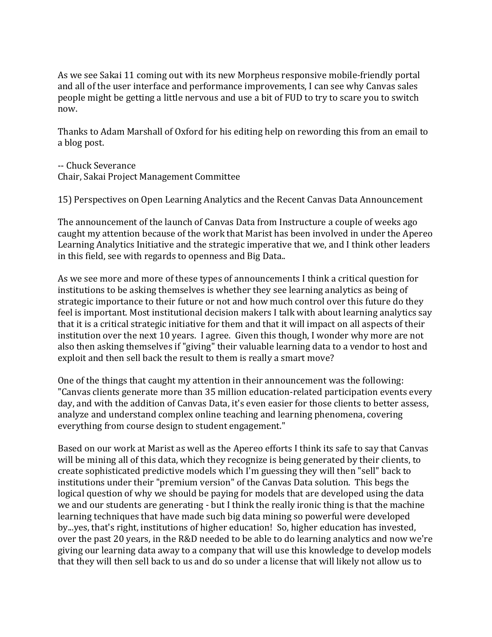As we see Sakai 11 coming out with its new Morpheus responsive mobile-friendly portal and all of the user interface and performance improvements, I can see why Canvas sales people might be getting a little nervous and use a bit of FUD to try to scare you to switch now. 

Thanks to Adam Marshall of Oxford for his editing help on rewording this from an email to a blog post.

-- Chuck Severance Chair, Sakai Project Management Committee

15) Perspectives on Open Learning Analytics and the Recent Canvas Data Announcement

The announcement of the launch of Canvas Data from Instructure a couple of weeks ago caught my attention because of the work that Marist has been involved in under the Apereo Learning Analytics Initiative and the strategic imperative that we, and I think other leaders in this field, see with regards to openness and Big Data...

As we see more and more of these types of announcements I think a critical question for institutions to be asking themselves is whether they see learning analytics as being of strategic importance to their future or not and how much control over this future do they feel is important. Most institutional decision makers I talk with about learning analytics say that it is a critical strategic initiative for them and that it will impact on all aspects of their institution over the next 10 years. I agree. Given this though, I wonder why more are not also then asking themselves if "giving" their valuable learning data to a vendor to host and exploit and then sell back the result to them is really a smart move?

One of the things that caught my attention in their announcement was the following: "Canvas clients generate more than 35 million education-related participation events every day, and with the addition of Canvas Data, it's even easier for those clients to better assess, analyze and understand complex online teaching and learning phenomena, covering everything from course design to student engagement."

Based on our work at Marist as well as the Apereo efforts I think its safe to say that Canvas will be mining all of this data, which they recognize is being generated by their clients, to create sophisticated predictive models which I'm guessing they will then "sell" back to institutions under their "premium version" of the Canvas Data solution. This begs the logical question of why we should be paying for models that are developed using the data we and our students are generating - but I think the really ironic thing is that the machine learning techniques that have made such big data mining so powerful were developed by...yes, that's right, institutions of higher education! So, higher education has invested, over the past 20 years, in the R&D needed to be able to do learning analytics and now we're giving our learning data away to a company that will use this knowledge to develop models that they will then sell back to us and do so under a license that will likely not allow us to